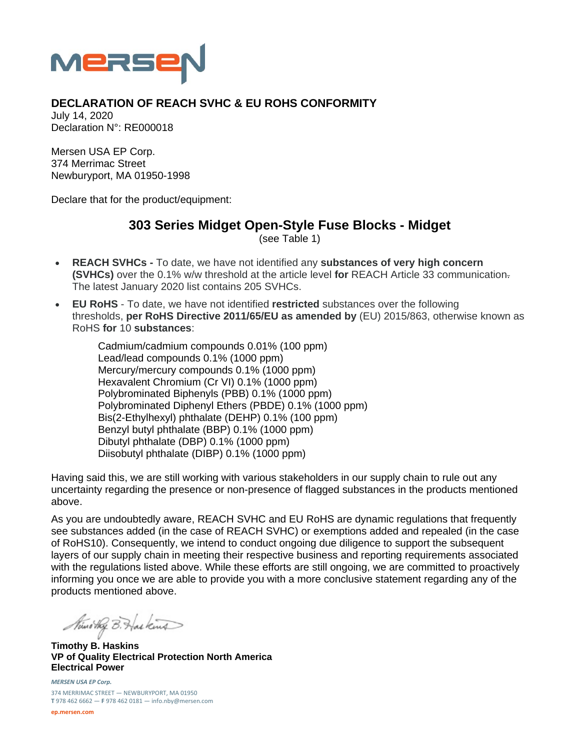

## **DECLARATION OF REACH SVHC & EU ROHS CONFORMITY**

July 14, 2020 Declaration N°: RE000018

Mersen USA EP Corp. 374 Merrimac Street Newburyport, MA 01950-1998

Declare that for the product/equipment:

## **303 Series Midget Open-Style Fuse Blocks - Midget**

(see Table 1)

- **REACH SVHCs** To date, we have not identified any **substances of very high concern (SVHCs)** over the 0.1% w/w threshold at the article level **for** REACH Article 33 communication. The latest January 2020 list contains 205 SVHCs.
- **EU RoHS** To date, we have not identified **restricted** substances over the following thresholds, **per RoHS Directive 2011/65/EU as amended by** (EU) 2015/863, otherwise known as RoHS **for** 10 **substances**:

Cadmium/cadmium compounds 0.01% (100 ppm) Lead/lead compounds 0.1% (1000 ppm) Mercury/mercury compounds 0.1% (1000 ppm) Hexavalent Chromium (Cr VI) 0.1% (1000 ppm) Polybrominated Biphenyls (PBB) 0.1% (1000 ppm) Polybrominated Diphenyl Ethers (PBDE) 0.1% (1000 ppm) Bis(2-Ethylhexyl) phthalate (DEHP) 0.1% (100 ppm) Benzyl butyl phthalate (BBP) 0.1% (1000 ppm) Dibutyl phthalate (DBP) 0.1% (1000 ppm) Diisobutyl phthalate (DIBP) 0.1% (1000 ppm)

Having said this, we are still working with various stakeholders in our supply chain to rule out any uncertainty regarding the presence or non-presence of flagged substances in the products mentioned above.

As you are undoubtedly aware, REACH SVHC and EU RoHS are dynamic regulations that frequently see substances added (in the case of REACH SVHC) or exemptions added and repealed (in the case of RoHS10). Consequently, we intend to conduct ongoing due diligence to support the subsequent layers of our supply chain in meeting their respective business and reporting requirements associated with the regulations listed above. While these efforts are still ongoing, we are committed to proactively informing you once we are able to provide you with a more conclusive statement regarding any of the products mentioned above.

Kind they B. Haskins

**Timothy B. Haskins VP of Quality Electrical Protection North America Electrical Power** 

*MERSEN USA EP Corp.* 374 MERRIMAC STREET — NEWBURYPORT, MA 01950 **T** 978 462 6662 — **F** 978 462 0181 — info.nby@mersen.com

**ep.mersen.com**